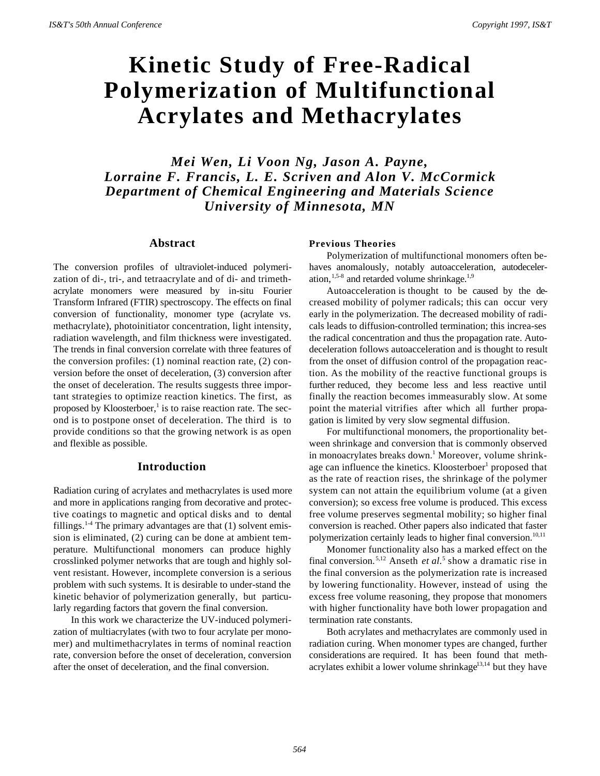# **Kinetic Study of Free-Radical Polymerization of Multifunctional Acrylates and Methacrylates**

*Mei Wen, Li Voon Ng, Jason A. Payne, Lorraine F. Francis, L. E. Scriven and Alon V. McCormick Department of Chemical Engineering and Materials Science University of Minnesota, MN*

## **Abstract**

The conversion profiles of ultraviolet-induced polymerization of di-, tri-, and tetraacrylate and of di- and trimethacrylate monomers were measured by in-situ Fourier Transform Infrared (FTIR) spectroscopy. The effects on final conversion of functionality, monomer type (acrylate vs. methacrylate), photoinitiator concentration, light intensity, radiation wavelength, and film thickness were investigated. The trends in final conversion correlate with three features of the conversion profiles: (1) nominal reaction rate, (2) conversion before the onset of deceleration, (3) conversion after the onset of deceleration. The results suggests three important strategies to optimize reaction kinetics. The first, as proposed by Kloosterboer,<sup>1</sup> is to raise reaction rate. The second is to postpone onset of deceleration. The third is to provide conditions so that the growing network is as open and flexible as possible.

# **Introduction**

Radiation curing of acrylates and methacrylates is used more and more in applications ranging from decorative and protective coatings to magnetic and optical disks and to dental fillings.<sup>1-4</sup> The primary advantages are that  $(1)$  solvent emission is eliminated, (2) curing can be done at ambient temperature. Multifunctional monomers can produce highly crosslinked polymer networks that are tough and highly solvent resistant. However, incomplete conversion is a serious problem with such systems. It is desirable to under-stand the kinetic behavior of polymerization generally, but particularly regarding factors that govern the final conversion.

In this work we characterize the UV-induced polymerization of multiacrylates (with two to four acrylate per monomer) and multimethacrylates in terms of nominal reaction rate, conversion before the onset of deceleration, conversion after the onset of deceleration, and the final conversion.

### **Previous Theories**

Polymerization of multifunctional monomers often behaves anomalously, notably autoacceleration, autodeceleration,  $1.5-8$  and retarded volume shrinkage.<sup>1,9</sup>

Autoacceleration is thought to be caused by the decreased mobility of polymer radicals; this can occur very early in the polymerization. The decreased mobility of radicals leads to diffusion-controlled termination; this increa-ses the radical concentration and thus the propagation rate. Autodeceleration follows autoacceleration and is thought to result from the onset of diffusion control of the propagation reaction. As the mobility of the reactive functional groups is further reduced, they become less and less reactive until finally the reaction becomes immeasurably slow. At some point the material vitrifies after which all further propagation is limited by very slow segmental diffusion.

For multifunctional monomers, the proportionality between shrinkage and conversion that is commonly observed in monoacrylates breaks down.<sup>1</sup> Moreover, volume shrinkage can influence the kinetics. Kloosterboer<sup>1</sup> proposed that as the rate of reaction rises, the shrinkage of the polymer system can not attain the equilibrium volume (at a given conversion); so excess free volume is produced. This excess free volume preserves segmental mobility; so higher final conversion is reached. Other papers also indicated that faster polymerization certainly leads to higher final conversion.<sup>10,11</sup>

Monomer functionality also has a marked effect on the final conversion.<sup>5,12</sup> Anseth *et al.*<sup>5</sup> show a dramatic rise in the final conversion as the polymerization rate is increased by lowering functionality. However, instead of using the excess free volume reasoning, they propose that monomers with higher functionality have both lower propagation and termination rate constants.

Both acrylates and methacrylates are commonly used in radiation curing. When monomer types are changed, further considerations are required. It has been found that methacrylates exhibit a lower volume shrinkage<sup>13,14</sup> but they have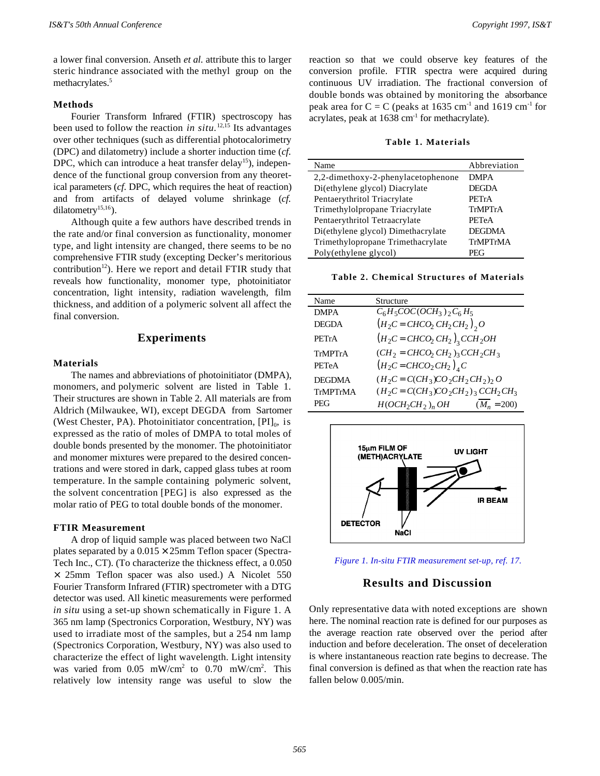a lower final conversion. Anseth *et al.* attribute this to larger steric hindrance associated with the methyl group on the methacrylates.<sup>5</sup>

## **Methods**

Fourier Transform Infrared (FTIR) spectroscopy has been used to follow the reaction *in situ.*12,15 Its advantages over other techniques (such as differential photocalorimetry (DPC) and dilatometry) include a shorter induction time (*cf*. DPC, which can introduce a heat transfer delay<sup>15</sup>), independence of the functional group conversion from any theoretical parameters (*cf*. DPC, which requires the heat of reaction) and from artifacts of delayed volume shrinkage (*cf.* dilatometry<sup>15,16</sup>).

Although quite a few authors have described trends in the rate and/or final conversion as functionality, monomer type, and light intensity are changed, there seems to be no comprehensive FTIR study (excepting Decker's meritorious contribution<sup>12</sup>). Here we report and detail FTIR study that reveals how functionality, monomer type, photoinitiator concentration, light intensity, radiation wavelength, film thickness, and addition of a polymeric solvent all affect the final conversion.

# **Experiments**

#### **Materials**

The names and abbreviations of photoinitiator (DMPA), monomers, and polymeric solvent are listed in Table 1. Their structures are shown in Table 2. All materials are from Aldrich (Milwaukee, WI), except DEGDA from Sartomer (West Chester, PA). Photoinitiator concentration,  $[PI]_0$ , is expressed as the ratio of moles of DMPA to total moles of double bonds presented by the monomer. The photoinitiator and monomer mixtures were prepared to the desired concentrations and were stored in dark, capped glass tubes at room temperature. In the sample containing polymeric solvent, the solvent concentration [PEG] is also expressed as the molar ratio of PEG to total double bonds of the monomer.

## **FTIR Measurement**

A drop of liquid sample was placed between two NaCl plates separated by a  $0.015 \times 25$ mm Teflon spacer (Spectra-Tech Inc., CT). (To characterize the thickness effect, a 0.050 × 25mm Teflon spacer was also used.) A Nicolet 550 Fourier Transform Infrared (FTIR) spectrometer with a DTG detector was used. All kinetic measurements were performed *in situ* using a set-up shown schematically in Figure 1. A 365 nm lamp (Spectronics Corporation, Westbury, NY) was used to irradiate most of the samples, but a 254 nm lamp (Spectronics Corporation, Westbury, NY) was also used to characterize the effect of light wavelength. Light intensity was varied from 0.05 mW/cm<sup>2</sup> to 0.70 mW/cm<sup>2</sup>. This relatively low intensity range was useful to slow the

reaction so that we could observe key features of the conversion profile. FTIR spectra were acquired during continuous UV irradiation. The fractional conversion of double bonds was obtained by monitoring the absorbance peak area for  $C = C$  (peaks at 1635 cm<sup>-1</sup> and 1619 cm<sup>-1</sup> for acrylates, peak at  $1638 \text{ cm}^{-1}$  for methacrylate).

#### **Table 1. Materials**

| Name                               | Abbreviation  |
|------------------------------------|---------------|
| 2,2-dimethoxy-2-phenylacetophenone | <b>DMPA</b>   |
| Di(ethylene glycol) Diacrylate     | <b>DEGDA</b>  |
| Pentaerythritol Triacrylate        | PETrA         |
| Trimethylolpropane Triacrylate     | TrMPTrA       |
| Pentaerythritol Tetraacrylate      | PETeA         |
| Di(ethylene glycol) Dimethacrylate | <b>DEGDMA</b> |
| Trimethylopropane Trimethacrylate  | TrMPTrMA      |
| Poly(ethylene glycol)              | PEG           |

**Table 2. Chemical Structures of Materials**

| Name         | Structure                                                            |
|--------------|----------------------------------------------------------------------|
| <b>DMPA</b>  | $C_6H_5COC(OCH_3)$ , $C_6H_5$                                        |
| <b>DEGDA</b> | $(H_2C = CHCO_2 CH_2 CH_2), O$                                       |
| PETrA        | $(H_2C = CHCO_2 CH_2)$ <sub>3</sub> CCH <sub>2</sub> OH              |
| TrMPTrA      | $(CH_2 = CHCO_2 CH_2)$ <sub>3</sub> CCH <sub>2</sub> CH <sub>3</sub> |
| <b>PETeA</b> | $(H_2C = CHCO_2CH_2)_{A}C$                                           |
| DEGDMA       | $(H_2C = CCH_3)CO_2CH_2CH_2$ ) <sub>2</sub> O                        |
| TrMPTrMA     | $(H_2C = CCH_3)CO_2CH_2$ <sub>3</sub> $CCH_2CH_3$                    |
| PEG          | $H(OCH_2CH_2)_n$ OH<br>$(M_n = 200)$                                 |



*Figure 1. In-situ FTIR measurement set-up, ref. 17.*

# **Results and Discussion**

Only representative data with noted exceptions are shown here. The nominal reaction rate is defined for our purposes as the average reaction rate observed over the period after induction and before deceleration. The onset of deceleration is where instantaneous reaction rate begins to decrease. The final conversion is defined as that when the reaction rate has fallen below 0.005/min.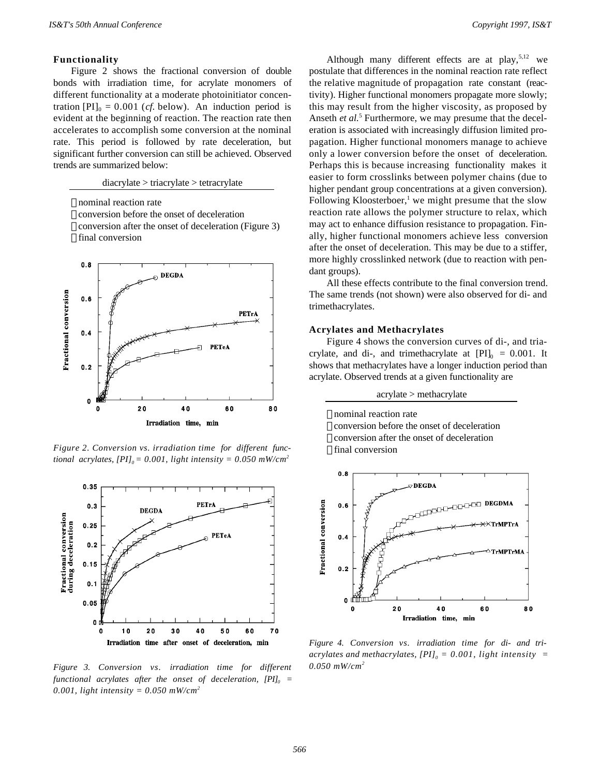## **Functionality**

Figure 2 shows the fractional conversion of double bonds with irradiation time, for acrylate monomers of different functionality at a moderate photoinitiator concentration  $[PI]_0 = 0.001$  (*cf.* below). An induction period is evident at the beginning of reaction. The reaction rate then accelerates to accomplish some conversion at the nominal rate. This period is followed by rate deceleration, but significant further conversion can still be achieved. Observed trends are summarized below:

diacrylate > triacrylate > tetracrylate

 nominal reaction rate conversion before the onset of deceleration conversion after the onset of deceleration (Figure 3) final conversion



*Figure 2. Conversion vs. irradiation time for different functional acrylates,*  $[PI]_0 = 0.001$ , light intensity = 0.050 mW/cm<sup>2</sup>



*Figure 3. Conversion vs. irradiation time for different functional acrylates after the onset of deceleration, [PI]<sup>0</sup> = 0.001, light intensity = 0.050 mW/cm<sup>2</sup>*

Although many different effects are at play,<sup>5,12</sup> we postulate that differences in the nominal reaction rate reflect the relative magnitude of propagation rate constant (reactivity). Higher functional monomers propagate more slowly; this may result from the higher viscosity, as proposed by Anseth *et al.*<sup>5</sup> Furthermore, we may presume that the deceleration is associated with increasingly diffusion limited propagation. Higher functional monomers manage to achieve only a lower conversion before the onset of deceleration. Perhaps this is because increasing functionality makes it easier to form crosslinks between polymer chains (due to higher pendant group concentrations at a given conversion). Following Kloosterboer,<sup>1</sup> we might presume that the slow reaction rate allows the polymer structure to relax, which may act to enhance diffusion resistance to propagation. Finally, higher functional monomers achieve less conversion after the onset of deceleration. This may be due to a stiffer, more highly crosslinked network (due to reaction with pendant groups).

All these effects contribute to the final conversion trend. The same trends (not shown) were also observed for di- and trimethacrylates.

#### **Acrylates and Methacrylates**

Figure 4 shows the conversion curves of di-, and triacrylate, and di-, and trimethacrylate at  $[PI]_0 = 0.001$ . It shows that methacrylates have a longer induction period than acrylate. Observed trends at a given functionality are

acrylate > methacrylate





*Figure 4. Conversion vs. irradiation time for di- and triacrylates and methacrylates, [PI]<sup>0</sup> = 0.001, light intensity = 0.050 mW/cm<sup>2</sup>*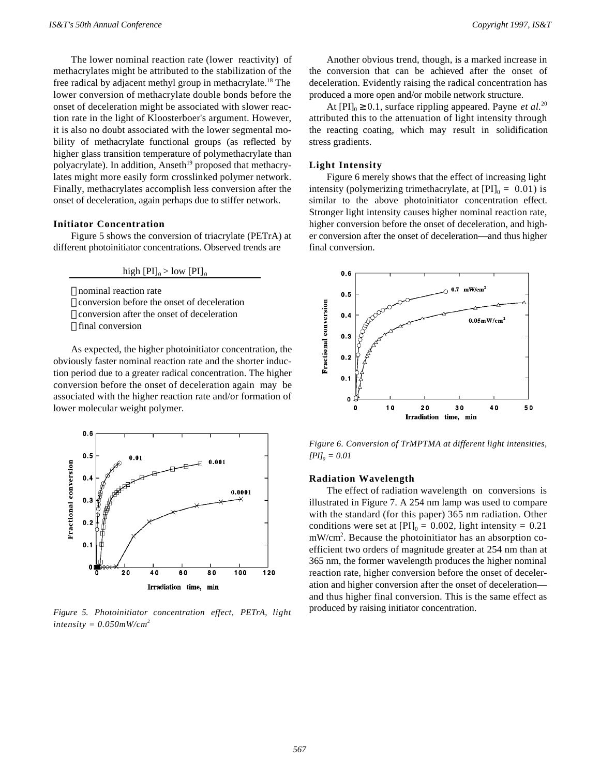The lower nominal reaction rate (lower reactivity) of methacrylates might be attributed to the stabilization of the free radical by adjacent methyl group in methacrylate.<sup>18</sup> The lower conversion of methacrylate double bonds before the onset of deceleration might be associated with slower reaction rate in the light of Kloosterboer's argument. However, it is also no doubt associated with the lower segmental mobility of methacrylate functional groups (as reflected by higher glass transition temperature of polymethacrylate than polyacrylate). In addition, Anseth<sup>19</sup> proposed that methacrylates might more easily form crosslinked polymer network. Finally, methacrylates accomplish less conversion after the onset of deceleration, again perhaps due to stiffer network.

#### **Initiator Concentration**

Figure 5 shows the conversion of triacrylate (PETrA) at different photoinitiator concentrations. Observed trends are

high  $[PI]_0 > low [PI]_0$ 

- nominal reaction rate
- conversion before the onset of deceleration
- conversion after the onset of deceleration
- final conversion

As expected, the higher photoinitiator concentration, the obviously faster nominal reaction rate and the shorter induction period due to a greater radical concentration. The higher conversion before the onset of deceleration again may be associated with the higher reaction rate and/or formation of lower molecular weight polymer.



*Figure 5. Photoinitiator concentration effect, PETrA, light*  $intensity = 0.050mW/cm<sup>2</sup>$ 

Another obvious trend, though, is a marked increase in the conversion that can be achieved after the onset of deceleration. Evidently raising the radical concentration has produced a more open and/or mobile network structure.

At  $[PI]_0 \ge 0.1$ , surface rippling appeared. Payne *et al.*<sup>20</sup> attributed this to the attenuation of light intensity through the reacting coating, which may result in solidification stress gradients.

#### **Light Intensity**

Figure 6 merely shows that the effect of increasing light intensity (polymerizing trimethacrylate, at  $[PI]_0 = 0.01$ ) is similar to the above photoinitiator concentration effect. Stronger light intensity causes higher nominal reaction rate, higher conversion before the onset of deceleration, and higher conversion after the onset of deceleration—and thus higher final conversion.



*Figure 6. Conversion of TrMPTMA at different light intensities, [PI]<sup>0</sup> = 0.01*

# **Radiation Wavelength**

The effect of radiation wavelength on conversions is illustrated in Figure 7. A 254 nm lamp was used to compare with the standard (for this paper) 365 nm radiation. Other conditions were set at  $[PI]_0 = 0.002$ , light intensity =  $0.21$ mW/cm<sup>2</sup>. Because the photoinitiator has an absorption coefficient two orders of magnitude greater at 254 nm than at 365 nm, the former wavelength produces the higher nominal reaction rate, higher conversion before the onset of deceleration and higher conversion after the onset of deceleration and thus higher final conversion. This is the same effect as produced by raising initiator concentration.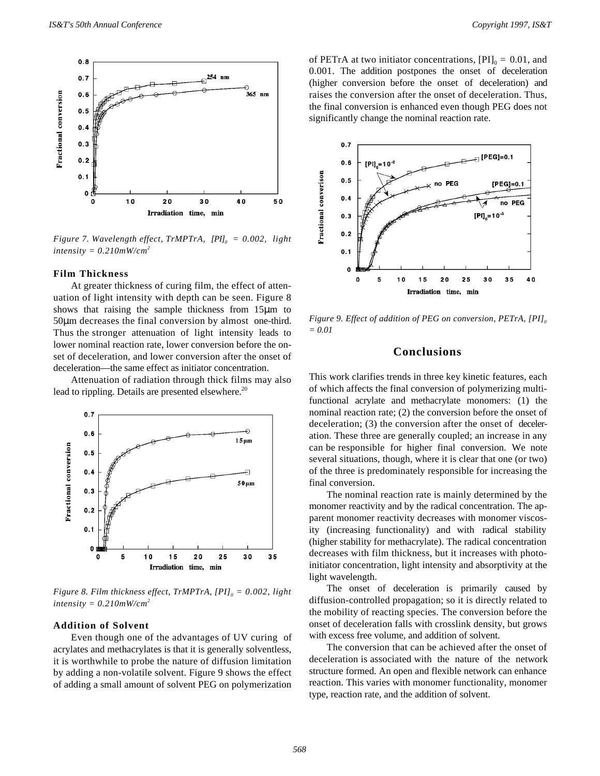

*Figure 7. Wavelength effect, TrMPTrA, [PI]<sup>0</sup> = 0.002, light intensity = 0.210mW/cm<sup>2</sup>*

#### **Film Thickness**

At greater thickness of curing film, the effect of attenuation of light intensity with depth can be seen. Figure 8 shows that raising the sample thickness from 15μm to 50μm decreases the final conversion by almost one-third. Thus the stronger attenuation of light intensity leads to lower nominal reaction rate, lower conversion before the onset of deceleration, and lower conversion after the onset of deceleration—the same effect as initiator concentration.

Attenuation of radiation through thick films may also lead to rippling. Details are presented elsewhere.<sup>20</sup>



*Figure 8. Film thickness effect, TrMPTrA, [PI]<sup>0</sup> = 0.002, light intensity = 0.210mW/cm<sup>2</sup>*

## **Addition of Solvent**

Even though one of the advantages of UV curing of acrylates and methacrylates is that it is generally solventless, it is worthwhile to probe the nature of diffusion limitation by adding a non-volatile solvent. Figure 9 shows the effect of adding a small amount of solvent PEG on polymerization

of PETrA at two initiator concentrations,  $[PI]_0 = 0.01$ , and 0.001. The addition postpones the onset of deceleration (higher conversion before the onset of deceleration) and raises the conversion after the onset of deceleration. Thus, the final conversion is enhanced even though PEG does not significantly change the nominal reaction rate.



*Figure 9. Effect of addition of PEG on conversion, PETrA, [PI]<sup>0</sup> = 0.01*

# **Conclusions**

This work clarifies trends in three key kinetic features, each of which affects the final conversion of polymerizing multifunctional acrylate and methacrylate monomers: (1) the nominal reaction rate; (2) the conversion before the onset of deceleration; (3) the conversion after the onset of deceleration. These three are generally coupled; an increase in any can be responsible for higher final conversion. We note several situations, though, where it is clear that one (or two) of the three is predominately responsible for increasing the final conversion.

The nominal reaction rate is mainly determined by the monomer reactivity and by the radical concentration. The apparent monomer reactivity decreases with monomer viscosity (increasing functionality) and with radical stability (higher stability for methacrylate). The radical concentration decreases with film thickness, but it increases with photoinitiator concentration, light intensity and absorptivity at the light wavelength.

The onset of deceleration is primarily caused by diffusion-controlled propagation; so it is directly related to the mobility of reacting species. The conversion before the onset of deceleration falls with crosslink density, but grows with excess free volume, and addition of solvent.

The conversion that can be achieved after the onset of deceleration is associated with the nature of the network structure formed. An open and flexible network can enhance reaction. This varies with monomer functionality, monomer type, reaction rate, and the addition of solvent.